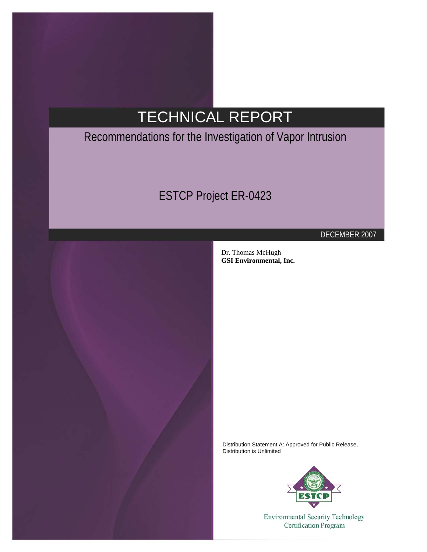# TECHNICAL REPORT

## Recommendations for the Investigation of Vapor Intrusion

## ESTCP Project ER-0423



DECEMBER 2007

Dr. Thomas McHugh **GSI Environmental, Inc.** 

Distribution Statement A: Approved for Public Release, Distribution is Unlimited



**Environmental Security Technology Certification Program**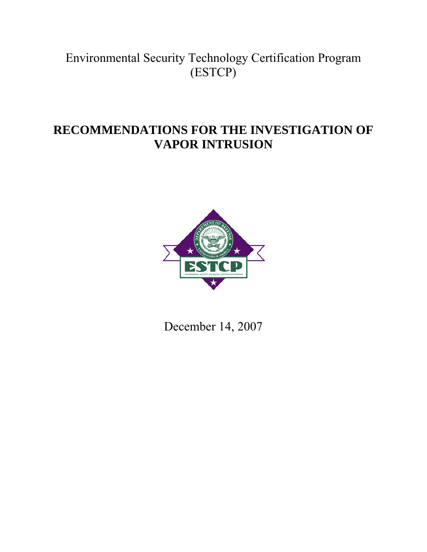## Environmental Security Technology Certification Program (ESTCP)

## **RECOMMENDATIONS FOR THE INVESTIGATION OF VAPOR INTRUSION**



December 14, 2007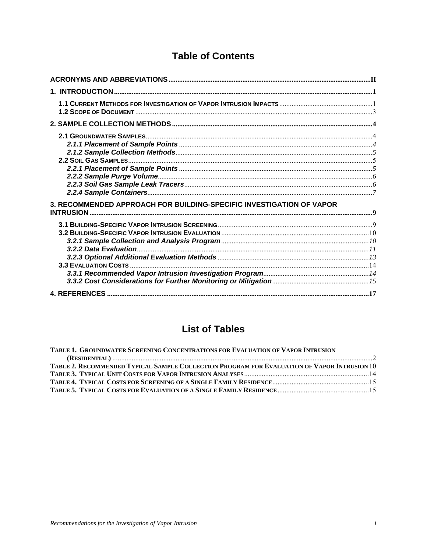## **Table of Contents**

| 3. RECOMMENDED APPROACH FOR BUILDING-SPECIFIC INVESTIGATION OF VAPOR |  |
|----------------------------------------------------------------------|--|
|                                                                      |  |
|                                                                      |  |

### **List of Tables**

| TABLE 1. GROUNDWATER SCREENING CONCENTRATIONS FOR EVALUATION OF VAPOR INTRUSION             |  |
|---------------------------------------------------------------------------------------------|--|
|                                                                                             |  |
| TABLE 2. RECOMMENDED TYPICAL SAMPLE COLLECTION PROGRAM FOR EVALUATION OF VAPOR INTRUSION 10 |  |
|                                                                                             |  |
|                                                                                             |  |
|                                                                                             |  |
|                                                                                             |  |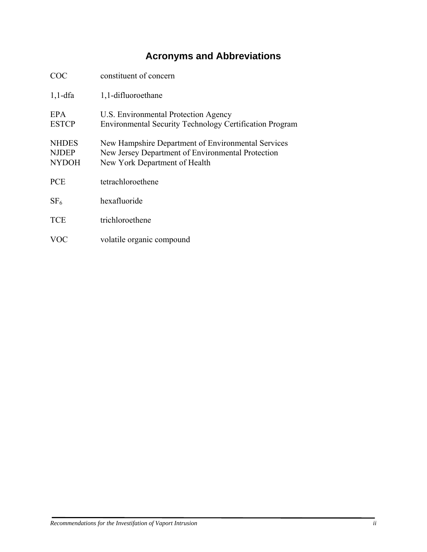## **Acronyms and Abbreviations**

<span id="page-3-1"></span><span id="page-3-0"></span>

| COC                                          | constituent of concern                                                                                                                   |
|----------------------------------------------|------------------------------------------------------------------------------------------------------------------------------------------|
| $1,1$ -dfa                                   | 1,1-difluoroethane                                                                                                                       |
| <b>EPA</b><br><b>ESTCP</b>                   | U.S. Environmental Protection Agency<br><b>Environmental Security Technology Certification Program</b>                                   |
| <b>NHDES</b><br><b>NJDEP</b><br><b>NYDOH</b> | New Hampshire Department of Environmental Services<br>New Jersey Department of Environmental Protection<br>New York Department of Health |
| <b>PCE</b>                                   | tetrachloroethene                                                                                                                        |
| SF <sub>6</sub>                              | hexafluoride                                                                                                                             |
| <b>TCE</b>                                   | trichloroethene                                                                                                                          |
| VOC                                          | volatile organic compound                                                                                                                |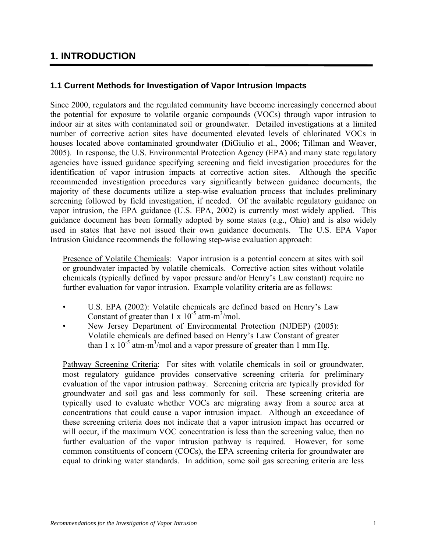### <span id="page-4-1"></span><span id="page-4-0"></span>**1. INTRODUCTION**

#### <span id="page-4-2"></span>**1.1 Current Methods for Investigation of Vapor Intrusion Impacts**

Since 2000, regulators and the regulated community have become increasingly concerned about the potential for exposure to volatile organic compounds (VOCs) through vapor intrusion to indoor air at sites with contaminated soil or groundwater. Detailed investigations at a limited number of corrective action sites have documented elevated levels of chlorinated VOCs in houses located above contaminated groundwater (DiGiulio et al., 2006; Tillman and Weaver, 2005). In response, the U.S. Environmental Protection Agency (EPA) and many state regulatory agencies have issued guidance specifying screening and field investigation procedures for the identification of vapor intrusion impacts at corrective action sites. Although the specific recommended investigation procedures vary significantly between guidance documents, the majority of these documents utilize a step-wise evaluation process that includes preliminary screening followed by field investigation, if needed. Of the available regulatory guidance on vapor intrusion, the EPA guidance (U.S. EPA, 2002) is currently most widely applied. This guidance document has been formally adopted by some states (e.g., Ohio) and is also widely used in states that have not issued their own guidance documents. The U.S. EPA Vapor Intrusion Guidance recommends the following step-wise evaluation approach:

Presence of Volatile Chemicals: Vapor intrusion is a potential concern at sites with soil or groundwater impacted by volatile chemicals. Corrective action sites without volatile chemicals (typically defined by vapor pressure and/or Henry's Law constant) require no further evaluation for vapor intrusion. Example volatility criteria are as follows:

- U.S. EPA (2002): Volatile chemicals are defined based on Henry's Law Constant of greater than  $1 \times 10^{-5}$  atm-m<sup>3</sup>/mol.
- New Jersey Department of Environmental Protection (NJDEP) (2005): Volatile chemicals are defined based on Henry's Law Constant of greater than 1 x  $10^{-5}$  atm-m<sup>3</sup>/mol and a vapor pressure of greater than 1 mm Hg.

Pathway Screening Criteria: For sites with volatile chemicals in soil or groundwater, most regulatory guidance provides conservative screening criteria for preliminary evaluation of the vapor intrusion pathway. Screening criteria are typically provided for groundwater and soil gas and less commonly for soil. These screening criteria are typically used to evaluate whether VOCs are migrating away from a source area at concentrations that could cause a vapor intrusion impact. Although an exceedance of these screening criteria does not indicate that a vapor intrusion impact has occurred or will occur, if the maximum VOC concentration is less than the screening value, then no further evaluation of the vapor intrusion pathway is required. However, for some common constituents of concern (COCs), the EPA screening criteria for groundwater are equal to drinking water standards. In addition, some soil gas screening criteria are less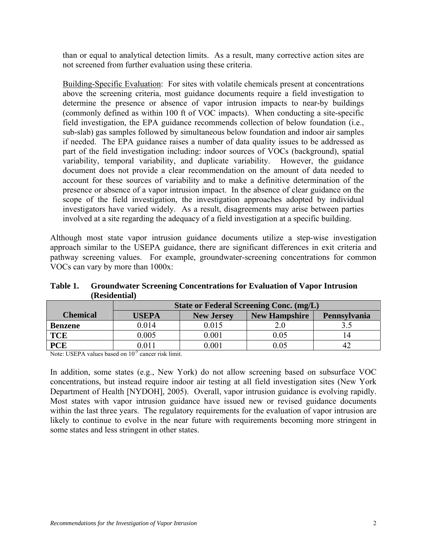<span id="page-5-0"></span>than or equal to analytical detection limits. As a result, many corrective action sites are not screened from further evaluation using these criteria.

Building-Specific Evaluation: For sites with volatile chemicals present at concentrations above the screening criteria, most guidance documents require a field investigation to determine the presence or absence of vapor intrusion impacts to near-by buildings (commonly defined as within 100 ft of VOC impacts). When conducting a site-specific field investigation, the EPA guidance recommends collection of below foundation (i.e., sub-slab) gas samples followed by simultaneous below foundation and indoor air samples if needed. The EPA guidance raises a number of data quality issues to be addressed as part of the field investigation including: indoor sources of VOCs (background), spatial variability, temporal variability, and duplicate variability. However, the guidance document does not provide a clear recommendation on the amount of data needed to account for these sources of variability and to make a definitive determination of the presence or absence of a vapor intrusion impact. In the absence of clear guidance on the scope of the field investigation, the investigation approaches adopted by individual investigators have varied widely. As a result, disagreements may arise between parties involved at a site regarding the adequacy of a field investigation at a specific building.

Although most state vapor intrusion guidance documents utilize a step-wise investigation approach similar to the USEPA guidance, there are significant differences in exit criteria and pathway screening values. For example, groundwater-screening concentrations for common VOCs can vary by more than 1000x:

| Table 1. | <b>Groundwater Screening Concentrations for Evaluation of Vapor Intrusion</b> |
|----------|-------------------------------------------------------------------------------|
|          | (Residential)                                                                 |
|          |                                                                               |

<span id="page-5-1"></span>

|                 | <b>State or Federal Screening Conc. (mg/L)</b> |                   |                      |              |
|-----------------|------------------------------------------------|-------------------|----------------------|--------------|
| <b>Chemical</b> | <b>USEPA</b>                                   | <b>New Jersey</b> | <b>New Hampshire</b> | Pennsylvania |
| <b>Benzene</b>  | 0.014                                          | 0.015             |                      |              |
| <b>TCE</b>      | 0.005                                          | 0.001             | 0.05                 |              |
| <b>PCE</b>      | ).011                                          | 0.001             | $0.05\,$             |              |

Note: USEPA values based on 10<sup>-5</sup> cancer risk limit.

In addition, some states (e.g., New York) do not allow screening based on subsurface VOC concentrations, but instead require indoor air testing at all field investigation sites (New York Department of Health [NYDOH], 2005). Overall, vapor intrusion guidance is evolving rapidly. Most states with vapor intrusion guidance have issued new or revised guidance documents within the last three years. The regulatory requirements for the evaluation of vapor intrusion are likely to continue to evolve in the near future with requirements becoming more stringent in some states and less stringent in other states.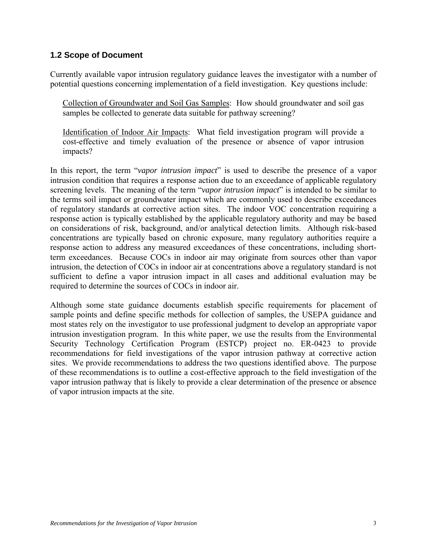#### <span id="page-6-1"></span><span id="page-6-0"></span>**1.2 Scope of Document**

Currently available vapor intrusion regulatory guidance leaves the investigator with a number of potential questions concerning implementation of a field investigation. Key questions include:

Collection of Groundwater and Soil Gas Samples: How should groundwater and soil gas samples be collected to generate data suitable for pathway screening?

Identification of Indoor Air Impacts: What field investigation program will provide a cost-effective and timely evaluation of the presence or absence of vapor intrusion impacts?

In this report, the term "*vapor intrusion impact*" is used to describe the presence of a vapor intrusion condition that requires a response action due to an exceedance of applicable regulatory screening levels. The meaning of the term "*vapor intrusion impact*" is intended to be similar to the terms soil impact or groundwater impact which are commonly used to describe exceedances of regulatory standards at corrective action sites. The indoor VOC concentration requiring a response action is typically established by the applicable regulatory authority and may be based on considerations of risk, background, and/or analytical detection limits. Although risk-based concentrations are typically based on chronic exposure, many regulatory authorities require a response action to address any measured exceedances of these concentrations, including shortterm exceedances. Because COCs in indoor air may originate from sources other than vapor intrusion, the detection of COCs in indoor air at concentrations above a regulatory standard is not sufficient to define a vapor intrusion impact in all cases and additional evaluation may be required to determine the sources of COCs in indoor air.

Although some state guidance documents establish specific requirements for placement of sample points and define specific methods for collection of samples, the USEPA guidance and most states rely on the investigator to use professional judgment to develop an appropriate vapor intrusion investigation program. In this white paper, we use the results from the Environmental Security Technology Certification Program (ESTCP) project no. ER-0423 to provide recommendations for field investigations of the vapor intrusion pathway at corrective action sites. We provide recommendations to address the two questions identified above. The purpose of these recommendations is to outline a cost-effective approach to the field investigation of the vapor intrusion pathway that is likely to provide a clear determination of the presence or absence of vapor intrusion impacts at the site.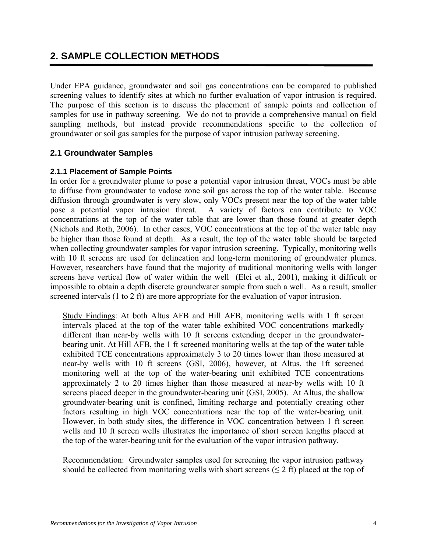### <span id="page-7-1"></span><span id="page-7-0"></span>**2. SAMPLE COLLECTION METHODS**

Under EPA guidance, groundwater and soil gas concentrations can be compared to published screening values to identify sites at which no further evaluation of vapor intrusion is required. The purpose of this section is to discuss the placement of sample points and collection of samples for use in pathway screening. We do not to provide a comprehensive manual on field sampling methods, but instead provide recommendations specific to the collection of groundwater or soil gas samples for the purpose of vapor intrusion pathway screening.

#### <span id="page-7-2"></span>**2.1 Groundwater Samples**

#### <span id="page-7-3"></span>**2.1.1 Placement of Sample Points**

In order for a groundwater plume to pose a potential vapor intrusion threat, VOCs must be able to diffuse from groundwater to vadose zone soil gas across the top of the water table. Because diffusion through groundwater is very slow, only VOCs present near the top of the water table pose a potential vapor intrusion threat. A variety of factors can contribute to VOC concentrations at the top of the water table that are lower than those found at greater depth (Nichols and Roth, 2006). In other cases, VOC concentrations at the top of the water table may be higher than those found at depth. As a result, the top of the water table should be targeted when collecting groundwater samples for vapor intrusion screening. Typically, monitoring wells with 10 ft screens are used for delineation and long-term monitoring of groundwater plumes. However, researchers have found that the majority of traditional monitoring wells with longer screens have vertical flow of water within the well (Elci et al., 2001), making it difficult or impossible to obtain a depth discrete groundwater sample from such a well. As a result, smaller screened intervals (1 to 2 ft) are more appropriate for the evaluation of vapor intrusion.

Study Findings: At both Altus AFB and Hill AFB, monitoring wells with 1 ft screen intervals placed at the top of the water table exhibited VOC concentrations markedly different than near-by wells with 10 ft screens extending deeper in the groundwaterbearing unit. At Hill AFB, the 1 ft screened monitoring wells at the top of the water table exhibited TCE concentrations approximately 3 to 20 times lower than those measured at near-by wells with 10 ft screens (GSI, 2006), however, at Altus, the 1ft screened monitoring well at the top of the water-bearing unit exhibited TCE concentrations approximately 2 to 20 times higher than those measured at near-by wells with 10 ft screens placed deeper in the groundwater-bearing unit (GSI, 2005). At Altus, the shallow groundwater-bearing unit is confined, limiting recharge and potentially creating other factors resulting in high VOC concentrations near the top of the water-bearing unit. However, in both study sites, the difference in VOC concentration between 1 ft screen wells and 10 ft screen wells illustrates the importance of short screen lengths placed at the top of the water-bearing unit for the evaluation of the vapor intrusion pathway.

Recommendation: Groundwater samples used for screening the vapor intrusion pathway should be collected from monitoring wells with short screens  $(< 2 \text{ ft})$  placed at the top of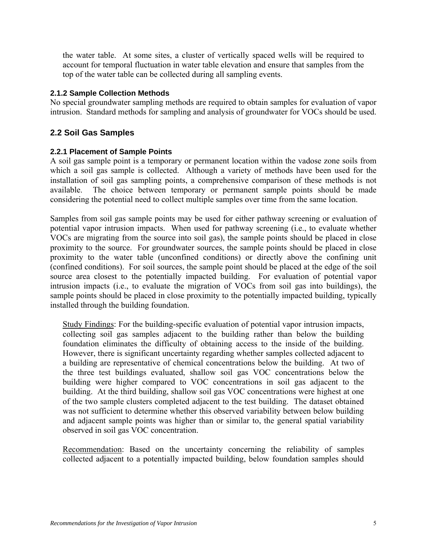<span id="page-8-0"></span>the water table. At some sites, a cluster of vertically spaced wells will be required to account for temporal fluctuation in water table elevation and ensure that samples from the top of the water table can be collected during all sampling events.

#### <span id="page-8-1"></span>**2.1.2 Sample Collection Methods**

No special groundwater sampling methods are required to obtain samples for evaluation of vapor intrusion. Standard methods for sampling and analysis of groundwater for VOCs should be used.

#### <span id="page-8-2"></span>**2.2 Soil Gas Samples**

#### <span id="page-8-3"></span>**2.2.1 Placement of Sample Points**

A soil gas sample point is a temporary or permanent location within the vadose zone soils from which a soil gas sample is collected. Although a variety of methods have been used for the installation of soil gas sampling points, a comprehensive comparison of these methods is not available. The choice between temporary or permanent sample points should be made considering the potential need to collect multiple samples over time from the same location.

Samples from soil gas sample points may be used for either pathway screening or evaluation of potential vapor intrusion impacts. When used for pathway screening (i.e., to evaluate whether VOCs are migrating from the source into soil gas), the sample points should be placed in close proximity to the source. For groundwater sources, the sample points should be placed in close proximity to the water table (unconfined conditions) or directly above the confining unit (confined conditions). For soil sources, the sample point should be placed at the edge of the soil source area closest to the potentially impacted building. For evaluation of potential vapor intrusion impacts (i.e., to evaluate the migration of VOCs from soil gas into buildings), the sample points should be placed in close proximity to the potentially impacted building, typically installed through the building foundation.

Study Findings: For the building-specific evaluation of potential vapor intrusion impacts, collecting soil gas samples adjacent to the building rather than below the building foundation eliminates the difficulty of obtaining access to the inside of the building. However, there is significant uncertainty regarding whether samples collected adjacent to a building are representative of chemical concentrations below the building. At two of the three test buildings evaluated, shallow soil gas VOC concentrations below the building were higher compared to VOC concentrations in soil gas adjacent to the building. At the third building, shallow soil gas VOC concentrations were highest at one of the two sample clusters completed adjacent to the test building. The dataset obtained was not sufficient to determine whether this observed variability between below building and adjacent sample points was higher than or similar to, the general spatial variability observed in soil gas VOC concentration.

Recommendation: Based on the uncertainty concerning the reliability of samples collected adjacent to a potentially impacted building, below foundation samples should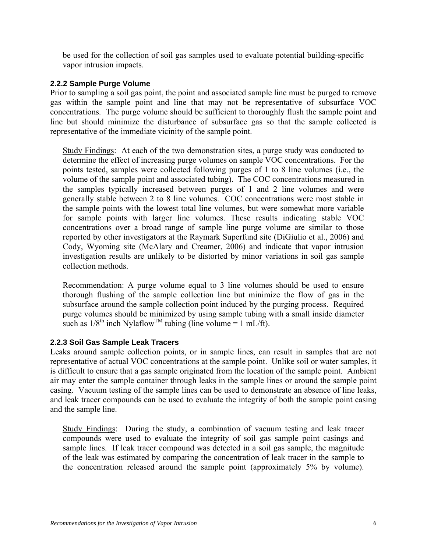<span id="page-9-0"></span>be used for the collection of soil gas samples used to evaluate potential building-specific vapor intrusion impacts.

#### <span id="page-9-1"></span>**2.2.2 Sample Purge Volume**

Prior to sampling a soil gas point, the point and associated sample line must be purged to remove gas within the sample point and line that may not be representative of subsurface VOC concentrations. The purge volume should be sufficient to thoroughly flush the sample point and line but should minimize the disturbance of subsurface gas so that the sample collected is representative of the immediate vicinity of the sample point.

Study Findings: At each of the two demonstration sites, a purge study was conducted to determine the effect of increasing purge volumes on sample VOC concentrations. For the points tested, samples were collected following purges of 1 to 8 line volumes (i.e., the volume of the sample point and associated tubing). The COC concentrations measured in the samples typically increased between purges of 1 and 2 line volumes and were generally stable between 2 to 8 line volumes. COC concentrations were most stable in the sample points with the lowest total line volumes, but were somewhat more variable for sample points with larger line volumes. These results indicating stable VOC concentrations over a broad range of sample line purge volume are similar to those reported by other investigators at the Raymark Superfund site (DiGiulio et al., 2006) and Cody, Wyoming site (McAlary and Creamer, 2006) and indicate that vapor intrusion investigation results are unlikely to be distorted by minor variations in soil gas sample collection methods.

Recommendation: A purge volume equal to 3 line volumes should be used to ensure thorough flushing of the sample collection line but minimize the flow of gas in the subsurface around the sample collection point induced by the purging process. Required purge volumes should be minimized by using sample tubing with a small inside diameter such as  $1/8^{th}$  inch Nylaflow<sup>TM</sup> tubing (line volume = 1 mL/ft).

#### <span id="page-9-2"></span>**2.2.3 Soil Gas Sample Leak Tracers**

Leaks around sample collection points, or in sample lines, can result in samples that are not representative of actual VOC concentrations at the sample point. Unlike soil or water samples, it is difficult to ensure that a gas sample originated from the location of the sample point. Ambient air may enter the sample container through leaks in the sample lines or around the sample point casing. Vacuum testing of the sample lines can be used to demonstrate an absence of line leaks, and leak tracer compounds can be used to evaluate the integrity of both the sample point casing and the sample line.

Study Findings: During the study, a combination of vacuum testing and leak tracer compounds were used to evaluate the integrity of soil gas sample point casings and sample lines. If leak tracer compound was detected in a soil gas sample, the magnitude of the leak was estimated by comparing the concentration of leak tracer in the sample to the concentration released around the sample point (approximately 5% by volume).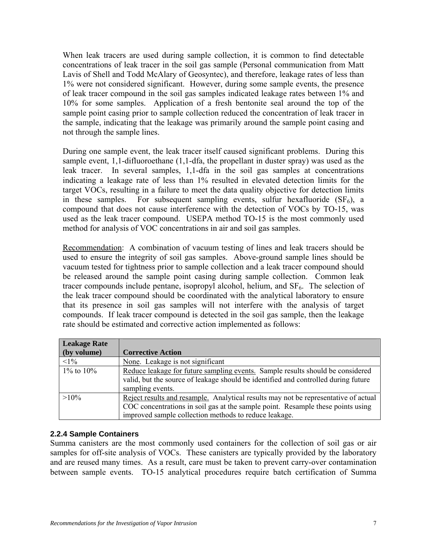<span id="page-10-0"></span>When leak tracers are used during sample collection, it is common to find detectable concentrations of leak tracer in the soil gas sample (Personal communication from Matt Lavis of Shell and Todd McAlary of Geosyntec), and therefore, leakage rates of less than 1% were not considered significant. However, during some sample events, the presence of leak tracer compound in the soil gas samples indicated leakage rates between 1% and 10% for some samples. Application of a fresh bentonite seal around the top of the sample point casing prior to sample collection reduced the concentration of leak tracer in the sample, indicating that the leakage was primarily around the sample point casing and not through the sample lines.

During one sample event, the leak tracer itself caused significant problems. During this sample event, 1,1-difluoroethane (1,1-dfa, the propellant in duster spray) was used as the leak tracer. In several samples, 1,1-dfa in the soil gas samples at concentrations indicating a leakage rate of less than 1% resulted in elevated detection limits for the target VOCs, resulting in a failure to meet the data quality objective for detection limits in these samples. For subsequent sampling events, sulfur hexafluoride  $(SF_6)$ , a compound that does not cause interference with the detection of VOCs by TO-15, was used as the leak tracer compound. USEPA method TO-15 is the most commonly used method for analysis of VOC concentrations in air and soil gas samples.

Recommendation: A combination of vacuum testing of lines and leak tracers should be used to ensure the integrity of soil gas samples. Above-ground sample lines should be vacuum tested for tightness prior to sample collection and a leak tracer compound should be released around the sample point casing during sample collection. Common leak tracer compounds include pentane, isopropyl alcohol, helium, and  $SF<sub>6</sub>$ . The selection of the leak tracer compound should be coordinated with the analytical laboratory to ensure that its presence in soil gas samples will not interfere with the analysis of target compounds. If leak tracer compound is detected in the soil gas sample, then the leakage rate should be estimated and corrective action implemented as follows:

| <b>Leakage Rate</b> |                                                                                     |
|---------------------|-------------------------------------------------------------------------------------|
| (by volume)         | <b>Corrective Action</b>                                                            |
| $<1\%$              | None. Leakage is not significant                                                    |
| $1\%$ to $10\%$     | Reduce leakage for future sampling events. Sample results should be considered      |
|                     | valid, but the source of leakage should be identified and controlled during future  |
|                     | sampling events.                                                                    |
| $>10\%$             | Reject results and resample. Analytical results may not be representative of actual |
|                     | COC concentrations in soil gas at the sample point. Resample these points using     |
|                     | improved sample collection methods to reduce leakage.                               |

#### <span id="page-10-1"></span>**2.2.4 Sample Containers**

Summa canisters are the most commonly used containers for the collection of soil gas or air samples for off-site analysis of VOCs. These canisters are typically provided by the laboratory and are reused many times. As a result, care must be taken to prevent carry-over contamination between sample events. TO-15 analytical procedures require batch certification of Summa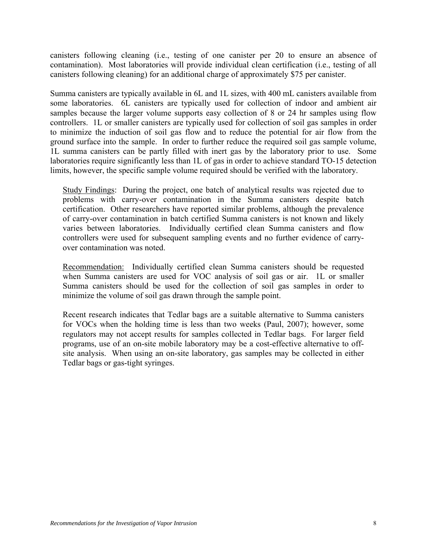canisters following cleaning (i.e., testing of one canister per 20 to ensure an absence of contamination). Most laboratories will provide individual clean certification (i.e., testing of all canisters following cleaning) for an additional charge of approximately \$75 per canister.

Summa canisters are typically available in 6L and 1L sizes, with 400 mL canisters available from some laboratories. 6L canisters are typically used for collection of indoor and ambient air samples because the larger volume supports easy collection of 8 or 24 hr samples using flow controllers. 1L or smaller canisters are typically used for collection of soil gas samples in order to minimize the induction of soil gas flow and to reduce the potential for air flow from the ground surface into the sample. In order to further reduce the required soil gas sample volume, 1L summa canisters can be partly filled with inert gas by the laboratory prior to use. Some laboratories require significantly less than 1L of gas in order to achieve standard TO-15 detection limits, however, the specific sample volume required should be verified with the laboratory.

Study Findings: During the project, one batch of analytical results was rejected due to problems with carry-over contamination in the Summa canisters despite batch certification. Other researchers have reported similar problems, although the prevalence of carry-over contamination in batch certified Summa canisters is not known and likely varies between laboratories. Individually certified clean Summa canisters and flow controllers were used for subsequent sampling events and no further evidence of carryover contamination was noted.

Recommendation: Individually certified clean Summa canisters should be requested when Summa canisters are used for VOC analysis of soil gas or air. 1L or smaller Summa canisters should be used for the collection of soil gas samples in order to minimize the volume of soil gas drawn through the sample point.

Recent research indicates that Tedlar bags are a suitable alternative to Summa canisters for VOCs when the holding time is less than two weeks (Paul, 2007); however, some regulators may not accept results for samples collected in Tedlar bags. For larger field programs, use of an on-site mobile laboratory may be a cost-effective alternative to offsite analysis. When using an on-site laboratory, gas samples may be collected in either Tedlar bags or gas-tight syringes.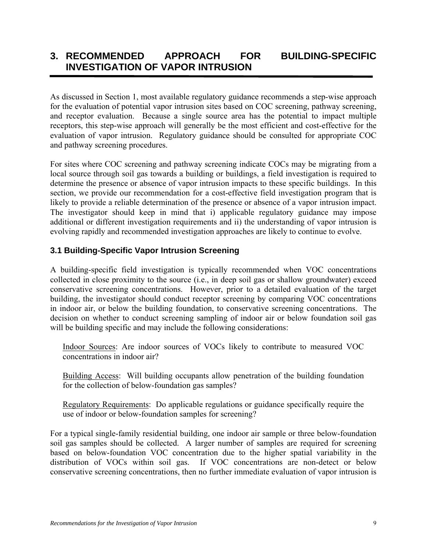### <span id="page-12-1"></span><span id="page-12-0"></span>**3. RECOMMENDED APPROACH FOR BUILDING-SPECIFIC INVESTIGATION OF VAPOR INTRUSION**

As discussed in Section 1, most available regulatory guidance recommends a step-wise approach for the evaluation of potential vapor intrusion sites based on COC screening, pathway screening, and receptor evaluation. Because a single source area has the potential to impact multiple receptors, this step-wise approach will generally be the most efficient and cost-effective for the evaluation of vapor intrusion. Regulatory guidance should be consulted for appropriate COC and pathway screening procedures.

For sites where COC screening and pathway screening indicate COCs may be migrating from a local source through soil gas towards a building or buildings, a field investigation is required to determine the presence or absence of vapor intrusion impacts to these specific buildings. In this section, we provide our recommendation for a cost-effective field investigation program that is likely to provide a reliable determination of the presence or absence of a vapor intrusion impact. The investigator should keep in mind that i) applicable regulatory guidance may impose additional or different investigation requirements and ii) the understanding of vapor intrusion is evolving rapidly and recommended investigation approaches are likely to continue to evolve.

#### <span id="page-12-2"></span>**3.1 Building-Specific Vapor Intrusion Screening**

A building-specific field investigation is typically recommended when VOC concentrations collected in close proximity to the source (i.e., in deep soil gas or shallow groundwater) exceed conservative screening concentrations. However, prior to a detailed evaluation of the target building, the investigator should conduct receptor screening by comparing VOC concentrations in indoor air, or below the building foundation, to conservative screening concentrations. The decision on whether to conduct screening sampling of indoor air or below foundation soil gas will be building specific and may include the following considerations:

Indoor Sources: Are indoor sources of VOCs likely to contribute to measured VOC concentrations in indoor air?

Building Access: Will building occupants allow penetration of the building foundation for the collection of below-foundation gas samples?

Regulatory Requirements: Do applicable regulations or guidance specifically require the use of indoor or below-foundation samples for screening?

For a typical single-family residential building, one indoor air sample or three below-foundation soil gas samples should be collected. A larger number of samples are required for screening based on below-foundation VOC concentration due to the higher spatial variability in the distribution of VOCs within soil gas. If VOC concentrations are non-detect or below conservative screening concentrations, then no further immediate evaluation of vapor intrusion is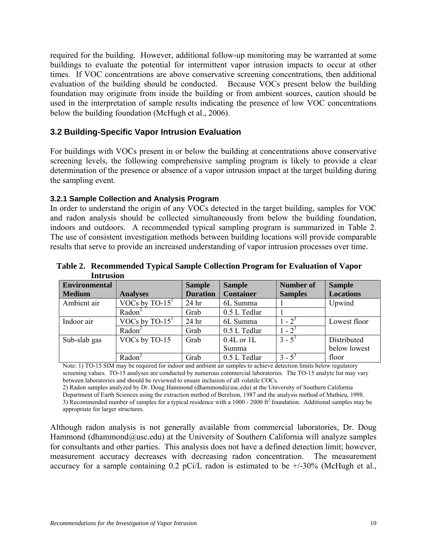<span id="page-13-0"></span>required for the building. However, additional follow-up monitoring may be warranted at some buildings to evaluate the potential for intermittent vapor intrusion impacts to occur at other times. If VOC concentrations are above conservative screening concentrations, then additional evaluation of the building should be conducted. Because VOCs present below the building foundation may originate from inside the building or from ambient sources, caution should be used in the interpretation of sample results indicating the presence of low VOC concentrations below the building foundation (McHugh et al., 2006).

#### <span id="page-13-1"></span>**3.2 Building-Specific Vapor Intrusion Evaluation**

For buildings with VOCs present in or below the building at concentrations above conservative screening levels, the following comprehensive sampling program is likely to provide a clear determination of the presence or absence of a vapor intrusion impact at the target building during the sampling event.

#### <span id="page-13-2"></span>**3.2.1 Sample Collection and Analysis Program**

In order to understand the origin of any VOCs detected in the target building, samples for VOC and radon analysis should be collected simultaneously from below the building foundation, indoors and outdoors. A recommended typical sampling program is summarized in Table 2. The use of consistent investigation methods between building locations will provide comparable results that serve to provide an increased understanding of vapor intrusion processes over time.

| THE WARD             |                    |                  |                  |                  |                  |
|----------------------|--------------------|------------------|------------------|------------------|------------------|
| <b>Environmental</b> |                    | <b>Sample</b>    | <b>Sample</b>    | <b>Number of</b> | <b>Sample</b>    |
| <b>Medium</b>        | <b>Analyses</b>    | <b>Duration</b>  | <b>Container</b> | <b>Samples</b>   | <b>Locations</b> |
| Ambient air          | VOCs by $TO-151$   | 24 <sub>hr</sub> | 6L Summa         |                  | Upwind           |
|                      | Radon <sup>2</sup> | Grab             | 0.5 L Tedlar     |                  |                  |
| Indoor air           | VOCs by $TO-151$   | 24 <sub>hr</sub> | 6L Summa         | $1 - 2^3$        | Lowest floor     |
|                      | Radon <sup>2</sup> | Grab             | 0.5 L Tedlar     | $1 - 2^3$        |                  |
| Sub-slab gas         | VOCs by TO-15      | Grab             | $0.4L$ or 1L     | $3 - 5^3$        | Distributed      |
|                      |                    |                  | Summa            |                  | below lowest     |
|                      | Radon              | Grab             | 0.5 L Tedlar     | $3 - 5^3$        | floor            |

<span id="page-13-3"></span>**Table 2. Recommended Typical Sample Collection Program for Evaluation of Vapor Intrusion** 

Note: 1) TO-15 SIM may be required for indoor and ambient air samples to achieve detection limits below regulatory screening values. TO-15 analyses are conducted by numerous commercial laboratories. The TO-15 analyte list may vary between laboratories and should be reviewed to ensure inclusion of all volatile COCs.

2) Radon samples analyzed by Dr. Doug Hammond (dhammond@usc.edu) at the University of Southern California Department of Earth Sciences using the extraction method of Berelson, 1987 and the analysis method of Mathieu, 1998. 3) Recommended number of samples for a typical residence with a 1000 - 2000  $\text{ft}^2$  foundation. Additional samples may be appropriate for larger structures.

Although radon analysis is not generally available from commercial laboratories, Dr. Doug Hammond (dhammond $@$ usc.edu) at the University of Southern California will analyze samples for consultants and other parties. This analysis does not have a defined detection limit; however, measurement accuracy decreases with decreasing radon concentration. The measurement accuracy for a sample containing  $0.2$  pCi/L radon is estimated to be  $+/-30\%$  (McHugh et al.,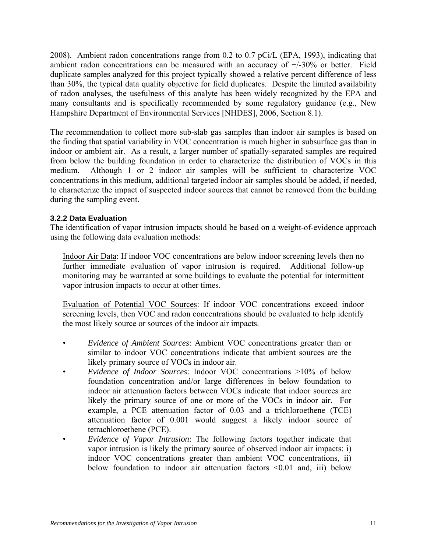<span id="page-14-0"></span>2008). Ambient radon concentrations range from 0.2 to 0.7 pCi/L (EPA, 1993), indicating that ambient radon concentrations can be measured with an accuracy of +/-30% or better. Field duplicate samples analyzed for this project typically showed a relative percent difference of less than 30%, the typical data quality objective for field duplicates. Despite the limited availability of radon analyses, the usefulness of this analyte has been widely recognized by the EPA and many consultants and is specifically recommended by some regulatory guidance (e.g., New Hampshire Department of Environmental Services [NHDES], 2006, Section 8.1).

The recommendation to collect more sub-slab gas samples than indoor air samples is based on the finding that spatial variability in VOC concentration is much higher in subsurface gas than in indoor or ambient air. As a result, a larger number of spatially-separated samples are required from below the building foundation in order to characterize the distribution of VOCs in this medium. Although 1 or 2 indoor air samples will be sufficient to characterize VOC concentrations in this medium, additional targeted indoor air samples should be added, if needed, to characterize the impact of suspected indoor sources that cannot be removed from the building during the sampling event.

#### <span id="page-14-1"></span>**3.2.2 Data Evaluation**

The identification of vapor intrusion impacts should be based on a weight-of-evidence approach using the following data evaluation methods:

Indoor Air Data: If indoor VOC concentrations are below indoor screening levels then no further immediate evaluation of vapor intrusion is required. Additional follow-up monitoring may be warranted at some buildings to evaluate the potential for intermittent vapor intrusion impacts to occur at other times.

Evaluation of Potential VOC Sources: If indoor VOC concentrations exceed indoor screening levels, then VOC and radon concentrations should be evaluated to help identify the most likely source or sources of the indoor air impacts.

- *Evidence of Ambient Sources*: Ambient VOC concentrations greater than or similar to indoor VOC concentrations indicate that ambient sources are the likely primary source of VOCs in indoor air.
- *Evidence of Indoor Sources*: Indoor VOC concentrations >10% of below foundation concentration and/or large differences in below foundation to indoor air attenuation factors between VOCs indicate that indoor sources are likely the primary source of one or more of the VOCs in indoor air. For example, a PCE attenuation factor of 0.03 and a trichloroethene (TCE) attenuation factor of 0.001 would suggest a likely indoor source of tetrachloroethene (PCE).
- *Evidence of Vapor Intrusion*: The following factors together indicate that vapor intrusion is likely the primary source of observed indoor air impacts: i) indoor VOC concentrations greater than ambient VOC concentrations, ii) below foundation to indoor air attenuation factors <0.01 and, iii) below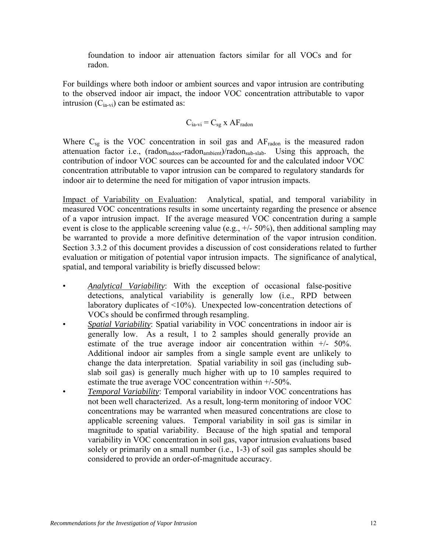foundation to indoor air attenuation factors similar for all VOCs and for radon.

For buildings where both indoor or ambient sources and vapor intrusion are contributing to the observed indoor air impact, the indoor VOC concentration attributable to vapor intrusion  $(C_{ia-vi})$  can be estimated as:

$$
C_{ia\text{-}vi} = C_{sg} \; x \; AF_{radon}
$$

Where  $C_{sg}$  is the VOC concentration in soil gas and  $AF_{radon}$  is the measured radon attenuation factor i.e., (radon<sub>indoor</sub>-radon<sub>ambient</sub>)/radon<sub>sub-slab</sub>. Using this approach, the contribution of indoor VOC sources can be accounted for and the calculated indoor VOC concentration attributable to vapor intrusion can be compared to regulatory standards for indoor air to determine the need for mitigation of vapor intrusion impacts.

Impact of Variability on Evaluation: Analytical, spatial, and temporal variability in measured VOC concentrations results in some uncertainty regarding the presence or absence of a vapor intrusion impact. If the average measured VOC concentration during a sample event is close to the applicable screening value (e.g.,  $+/- 50\%$ ), then additional sampling may be warranted to provide a more definitive determination of the vapor intrusion condition. Section 3.3.2 of this document provides a discussion of cost considerations related to further evaluation or mitigation of potential vapor intrusion impacts. The significance of analytical, spatial, and temporal variability is briefly discussed below:

- *Analytical Variability*: With the exception of occasional false-positive detections, analytical variability is generally low (i.e., RPD between laboratory duplicates of <10%). Unexpected low-concentration detections of VOCs should be confirmed through resampling.
- *Spatial Variability*: Spatial variability in VOC concentrations in indoor air is generally low. As a result, 1 to 2 samples should generally provide an estimate of the true average indoor air concentration within  $+/- 50\%$ . Additional indoor air samples from a single sample event are unlikely to change the data interpretation. Spatial variability in soil gas (including subslab soil gas) is generally much higher with up to 10 samples required to estimate the true average VOC concentration within +/-50%.
- *Temporal Variability*: Temporal variability in indoor VOC concentrations has not been well characterized. As a result, long-term monitoring of indoor VOC concentrations may be warranted when measured concentrations are close to applicable screening values. Temporal variability in soil gas is similar in magnitude to spatial variability. Because of the high spatial and temporal variability in VOC concentration in soil gas, vapor intrusion evaluations based solely or primarily on a small number (i.e., 1-3) of soil gas samples should be considered to provide an order-of-magnitude accuracy.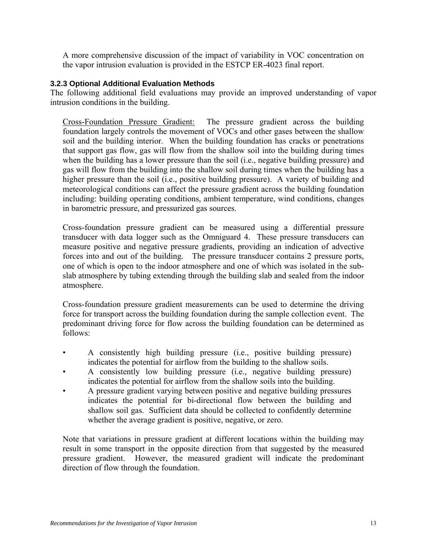<span id="page-16-0"></span>A more comprehensive discussion of the impact of variability in VOC concentration on the vapor intrusion evaluation is provided in the ESTCP ER-4023 final report.

#### <span id="page-16-1"></span>**3.2.3 Optional Additional Evaluation Methods**

The following additional field evaluations may provide an improved understanding of vapor intrusion conditions in the building.

Cross-Foundation Pressure Gradient: The pressure gradient across the building foundation largely controls the movement of VOCs and other gases between the shallow soil and the building interior. When the building foundation has cracks or penetrations that support gas flow, gas will flow from the shallow soil into the building during times when the building has a lower pressure than the soil (i.e., negative building pressure) and gas will flow from the building into the shallow soil during times when the building has a higher pressure than the soil (i.e., positive building pressure). A variety of building and meteorological conditions can affect the pressure gradient across the building foundation including: building operating conditions, ambient temperature, wind conditions, changes in barometric pressure, and pressurized gas sources.

Cross-foundation pressure gradient can be measured using a differential pressure transducer with data logger such as the Omniguard 4. These pressure transducers can measure positive and negative pressure gradients, providing an indication of advective forces into and out of the building. The pressure transducer contains 2 pressure ports, one of which is open to the indoor atmosphere and one of which was isolated in the subslab atmosphere by tubing extending through the building slab and sealed from the indoor atmosphere.

Cross-foundation pressure gradient measurements can be used to determine the driving force for transport across the building foundation during the sample collection event. The predominant driving force for flow across the building foundation can be determined as follows:

- A consistently high building pressure (i.e., positive building pressure) indicates the potential for airflow from the building to the shallow soils.
- A consistently low building pressure (i.e., negative building pressure) indicates the potential for airflow from the shallow soils into the building.
- A pressure gradient varying between positive and negative building pressures indicates the potential for bi-directional flow between the building and shallow soil gas. Sufficient data should be collected to confidently determine whether the average gradient is positive, negative, or zero.

Note that variations in pressure gradient at different locations within the building may result in some transport in the opposite direction from that suggested by the measured pressure gradient. However, the measured gradient will indicate the predominant direction of flow through the foundation.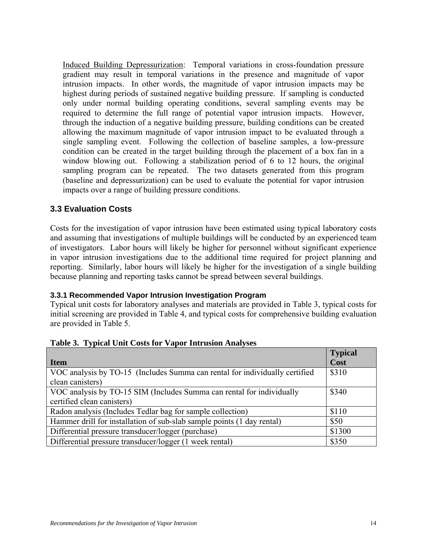<span id="page-17-0"></span>Induced Building Depressurization: Temporal variations in cross-foundation pressure gradient may result in temporal variations in the presence and magnitude of vapor intrusion impacts. In other words, the magnitude of vapor intrusion impacts may be highest during periods of sustained negative building pressure. If sampling is conducted only under normal building operating conditions, several sampling events may be required to determine the full range of potential vapor intrusion impacts. However, through the induction of a negative building pressure, building conditions can be created allowing the maximum magnitude of vapor intrusion impact to be evaluated through a single sampling event. Following the collection of baseline samples, a low-pressure condition can be created in the target building through the placement of a box fan in a window blowing out. Following a stabilization period of 6 to 12 hours, the original sampling program can be repeated. The two datasets generated from this program (baseline and depressurization) can be used to evaluate the potential for vapor intrusion impacts over a range of building pressure conditions.

#### <span id="page-17-1"></span>**3.3 Evaluation Costs**

Costs for the investigation of vapor intrusion have been estimated using typical laboratory costs and assuming that investigations of multiple buildings will be conducted by an experienced team of investigators. Labor hours will likely be higher for personnel without significant experience in vapor intrusion investigations due to the additional time required for project planning and reporting. Similarly, labor hours will likely be higher for the investigation of a single building because planning and reporting tasks cannot be spread between several buildings.

#### <span id="page-17-2"></span>**3.3.1 Recommended Vapor Intrusion Investigation Program**

Typical unit costs for laboratory analyses and materials are provided in Table 3, typical costs for initial screening are provided in Table 4, and typical costs for comprehensive building evaluation are provided in Table 5.

<span id="page-17-3"></span>

|                                                                             | <b>Typical</b> |
|-----------------------------------------------------------------------------|----------------|
| Item                                                                        | Cost           |
| VOC analysis by TO-15 (Includes Summa can rental for individually certified | \$310          |
| clean canisters)                                                            |                |
| VOC analysis by TO-15 SIM (Includes Summa can rental for individually       | \$340          |
| certified clean canisters)                                                  |                |
| Radon analysis (Includes Tedlar bag for sample collection)                  | \$110          |
| Hammer drill for installation of sub-slab sample points (1 day rental)      | \$50           |
| Differential pressure transducer/logger (purchase)                          | \$1300         |
| Differential pressure transducer/logger (1 week rental)                     | \$350          |

#### **Table 3. Typical Unit Costs for Vapor Intrusion Analyses**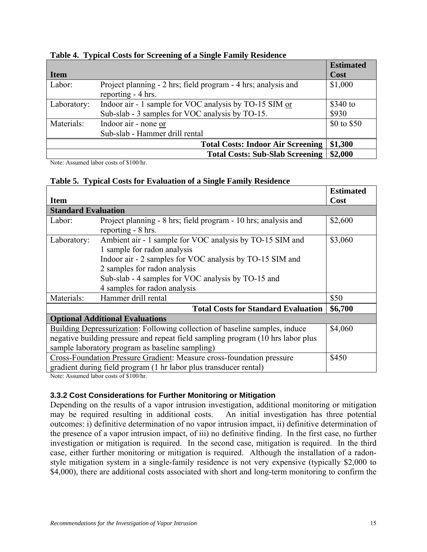<span id="page-18-2"></span>

|             |                                                               | <b>Estimated</b> |
|-------------|---------------------------------------------------------------|------------------|
| <b>Item</b> |                                                               | Cost             |
| Labor:      | Project planning - 2 hrs; field program - 4 hrs; analysis and | \$1,000          |
|             | reporting - 4 hrs.                                            |                  |
| Laboratory: | Indoor air - 1 sample for VOC analysis by TO-15 SIM or        | $$340$ to        |
|             | Sub-slab - 3 samples for VOC analysis by TO-15.               | \$930            |
| Materials:  | Indoor air - none or                                          | \$0 to \$50      |
|             | Sub-slab - Hammer drill rental                                |                  |
|             | <b>Total Costs: Indoor Air Screening</b>                      | \$1,300          |
|             | <b>Total Costs: Sub-Slab Screening</b>                        | \$2,000          |

#### <span id="page-18-0"></span>**Table 4. Typical Costs for Screening of a Single Family Residence**

Note: Assumed labor costs of \$100/hr.

#### **Table 5. Typical Costs for Evaluation of a Single Family Residence**

<span id="page-18-3"></span>

|                                                                                    |                                                                       | <b>Estimated</b> |
|------------------------------------------------------------------------------------|-----------------------------------------------------------------------|------------------|
| <b>Item</b>                                                                        |                                                                       | Cost             |
| <b>Standard Evaluation</b>                                                         |                                                                       |                  |
| Labor:                                                                             | Project planning - 8 hrs; field program - 10 hrs; analysis and        | \$2,600          |
|                                                                                    | reporting - 8 hrs.                                                    |                  |
| Laboratory:                                                                        | Ambient air - 1 sample for VOC analysis by TO-15 SIM and              | \$3,060          |
|                                                                                    | 1 sample for radon analysis                                           |                  |
|                                                                                    | Indoor air - 2 samples for VOC analysis by TO-15 SIM and              |                  |
|                                                                                    | 2 samples for radon analysis                                          |                  |
|                                                                                    | Sub-slab - 4 samples for VOC analysis by TO-15 and                    |                  |
|                                                                                    | 4 samples for radon analysis                                          |                  |
| Materials:                                                                         | Hammer drill rental                                                   | \$50             |
|                                                                                    | <b>Total Costs for Standard Evaluation</b>                            | \$6,700          |
|                                                                                    | <b>Optional Additional Evaluations</b>                                |                  |
| <b>Building Depressurization:</b> Following collection of baseline samples, induce | \$4,060                                                               |                  |
| negative building pressure and repeat field sampling program (10 hrs labor plus    |                                                                       |                  |
| sample laboratory program as baseline sampling)                                    |                                                                       |                  |
|                                                                                    | Cross-Foundation Pressure Gradient: Measure cross-foundation pressure | \$450            |
|                                                                                    | gradient during field program (1 hr labor plus transducer rental)     |                  |

Note: Assumed labor costs of \$100/hr.

#### <span id="page-18-1"></span>**3.3.2 Cost Considerations for Further Monitoring or Mitigation**

Depending on the results of a vapor intrusion investigation, additional monitoring or mitigation may be required resulting in additional costs. An initial investigation has three potential outcomes: i) definitive determination of no vapor intrusion impact, ii) definitive determination of the presence of a vapor intrusion impact, of iii) no definitive finding. In the first case, no further investigation or mitigation is required. In the second case, mitigation is required. In the third case, either further monitoring or mitigation is required. Although the installation of a radonstyle mitigation system in a single-family residence is not very expensive (typically \$2,000 to \$4,000), there are additional costs associated with short and long-term monitoring to confirm the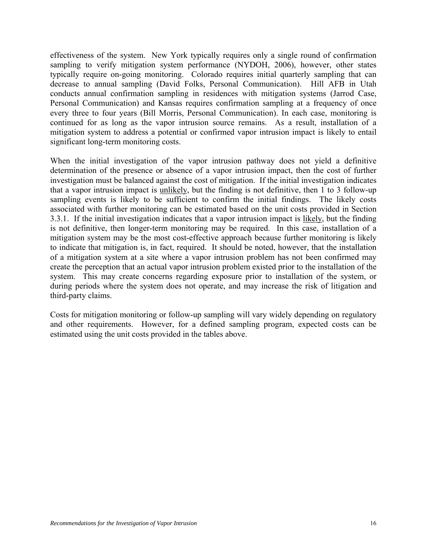effectiveness of the system. New York typically requires only a single round of confirmation sampling to verify mitigation system performance (NYDOH, 2006), however, other states typically require on-going monitoring. Colorado requires initial quarterly sampling that can decrease to annual sampling (David Folks, Personal Communication). Hill AFB in Utah conducts annual confirmation sampling in residences with mitigation systems (Jarrod Case, Personal Communication) and Kansas requires confirmation sampling at a frequency of once every three to four years (Bill Morris, Personal Communication). In each case, monitoring is continued for as long as the vapor intrusion source remains. As a result, installation of a mitigation system to address a potential or confirmed vapor intrusion impact is likely to entail significant long-term monitoring costs.

When the initial investigation of the vapor intrusion pathway does not yield a definitive determination of the presence or absence of a vapor intrusion impact, then the cost of further investigation must be balanced against the cost of mitigation. If the initial investigation indicates that a vapor intrusion impact is unlikely, but the finding is not definitive, then 1 to 3 follow-up sampling events is likely to be sufficient to confirm the initial findings. The likely costs associated with further monitoring can be estimated based on the unit costs provided in Section 3.3.1. If the initial investigation indicates that a vapor intrusion impact is likely, but the finding is not definitive, then longer-term monitoring may be required. In this case, installation of a mitigation system may be the most cost-effective approach because further monitoring is likely to indicate that mitigation is, in fact, required. It should be noted, however, that the installation of a mitigation system at a site where a vapor intrusion problem has not been confirmed may create the perception that an actual vapor intrusion problem existed prior to the installation of the system. This may create concerns regarding exposure prior to installation of the system, or during periods where the system does not operate, and may increase the risk of litigation and third-party claims.

Costs for mitigation monitoring or follow-up sampling will vary widely depending on regulatory and other requirements. However, for a defined sampling program, expected costs can be estimated using the unit costs provided in the tables above.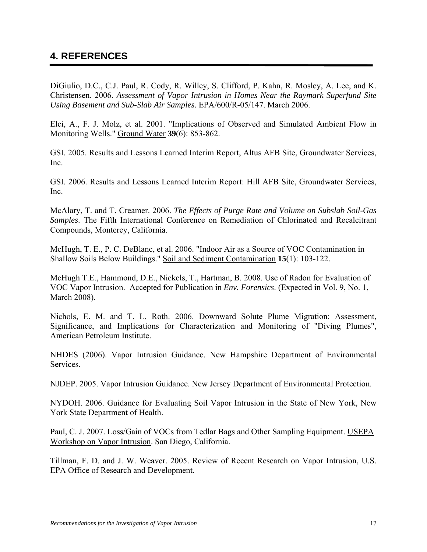### <span id="page-20-1"></span><span id="page-20-0"></span>**4. REFERENCES**

DiGiulio, D.C., C.J. Paul, R. Cody, R. Willey, S. Clifford, P. Kahn, R. Mosley, A. Lee, and K. Christensen. 2006. *Assessment of Vapor Intrusion in Homes Near the Raymark Superfund Site Using Basement and Sub-Slab Air Samples.* EPA/600/R-05/147. March 2006.

Elci, A., F. J. Molz, et al. 2001. "Implications of Observed and Simulated Ambient Flow in Monitoring Wells." Ground Water **39**(6): 853-862.

GSI. 2005. Results and Lessons Learned Interim Report, Altus AFB Site, Groundwater Services, Inc.

GSI. 2006. Results and Lessons Learned Interim Report: Hill AFB Site, Groundwater Services, Inc.

McAlary, T. and T. Creamer. 2006. *The Effects of Purge Rate and Volume on Subslab Soil-Gas Samples*. The Fifth International Conference on Remediation of Chlorinated and Recalcitrant Compounds, Monterey, California.

McHugh, T. E., P. C. DeBlanc, et al. 2006. "Indoor Air as a Source of VOC Contamination in Shallow Soils Below Buildings." Soil and Sediment Contamination **15**(1): 103-122.

McHugh T.E., Hammond, D.E., Nickels, T., Hartman, B. 2008. Use of Radon for Evaluation of VOC Vapor Intrusion. Accepted for Publication in *Env. Forensics*. (Expected in Vol. 9, No. 1, March 2008).

Nichols, E. M. and T. L. Roth. 2006. Downward Solute Plume Migration: Assessment, Significance, and Implications for Characterization and Monitoring of "Diving Plumes", American Petroleum Institute.

NHDES (2006). Vapor Intrusion Guidance. New Hampshire Department of Environmental Services.

NJDEP. 2005. Vapor Intrusion Guidance. New Jersey Department of Environmental Protection.

NYDOH. 2006. Guidance for Evaluating Soil Vapor Intrusion in the State of New York, New York State Department of Health.

Paul, C. J. 2007. Loss/Gain of VOCs from Tedlar Bags and Other Sampling Equipment. USEPA Workshop on Vapor Intrusion. San Diego, California.

Tillman, F. D. and J. W. Weaver. 2005. Review of Recent Research on Vapor Intrusion, U.S. EPA Office of Research and Development.